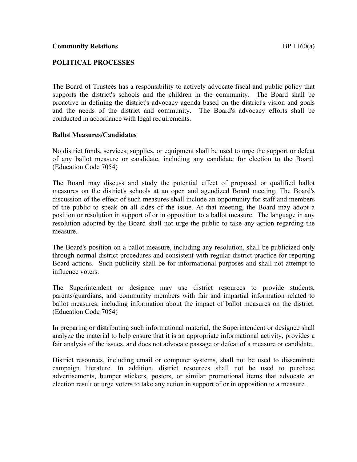# **POLITICAL PROCESSES**

The Board of Trustees has a responsibility to actively advocate fiscal and public policy that supports the district's schools and the children in the community. The Board shall be proactive in defining the district's advocacy agenda based on the district's vision and goals and the needs of the district and community. The Board's advocacy efforts shall be conducted in accordance with legal requirements.

## **Ballot Measures/Candidates**

No district funds, services, supplies, or equipment shall be used to urge the support or defeat of any ballot measure or candidate, including any candidate for election to the Board. (Education Code 7054)

The Board may discuss and study the potential effect of proposed or qualified ballot measures on the district's schools at an open and agendized Board meeting. The Board's discussion of the effect of such measures shall include an opportunity for staff and members of the public to speak on all sides of the issue. At that meeting, the Board may adopt a position or resolution in support of or in opposition to a ballot measure. The language in any resolution adopted by the Board shall not urge the public to take any action regarding the measure.

The Board's position on a ballot measure, including any resolution, shall be publicized only through normal district procedures and consistent with regular district practice for reporting Board actions. Such publicity shall be for informational purposes and shall not attempt to influence voters.

The Superintendent or designee may use district resources to provide students, parents/guardians, and community members with fair and impartial information related to ballot measures, including information about the impact of ballot measures on the district. (Education Code 7054)

In preparing or distributing such informational material, the Superintendent or designee shall analyze the material to help ensure that it is an appropriate informational activity, provides a fair analysis of the issues, and does not advocate passage or defeat of a measure or candidate.

District resources, including email or computer systems, shall not be used to disseminate campaign literature. In addition, district resources shall not be used to purchase advertisements, bumper stickers, posters, or similar promotional items that advocate an election result or urge voters to take any action in support of or in opposition to a measure.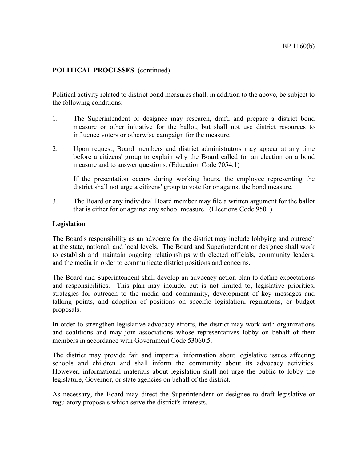# **POLITICAL PROCESSES** (continued)

Political activity related to district bond measures shall, in addition to the above, be subject to the following conditions:

- 1. The Superintendent or designee may research, draft, and prepare a district bond measure or other initiative for the ballot, but shall not use district resources to influence voters or otherwise campaign for the measure.
- 2. Upon request, Board members and district administrators may appear at any time before a citizens' group to explain why the Board called for an election on a bond measure and to answer questions. (Education Code 7054.1)

If the presentation occurs during working hours, the employee representing the district shall not urge a citizens' group to vote for or against the bond measure.

3. The Board or any individual Board member may file a written argument for the ballot that is either for or against any school measure. (Elections Code 9501)

#### **Legislation**

The Board's responsibility as an advocate for the district may include lobbying and outreach at the state, national, and local levels. The Board and Superintendent or designee shall work to establish and maintain ongoing relationships with elected officials, community leaders, and the media in order to communicate district positions and concerns.

The Board and Superintendent shall develop an advocacy action plan to define expectations and responsibilities. This plan may include, but is not limited to, legislative priorities, strategies for outreach to the media and community, development of key messages and talking points, and adoption of positions on specific legislation, regulations, or budget proposals.

In order to strengthen legislative advocacy efforts, the district may work with organizations and coalitions and may join associations whose representatives lobby on behalf of their members in accordance with Government Code 53060.5.

The district may provide fair and impartial information about legislative issues affecting schools and children and shall inform the community about its advocacy activities. However, informational materials about legislation shall not urge the public to lobby the legislature, Governor, or state agencies on behalf of the district.

As necessary, the Board may direct the Superintendent or designee to draft legislative or regulatory proposals which serve the district's interests.